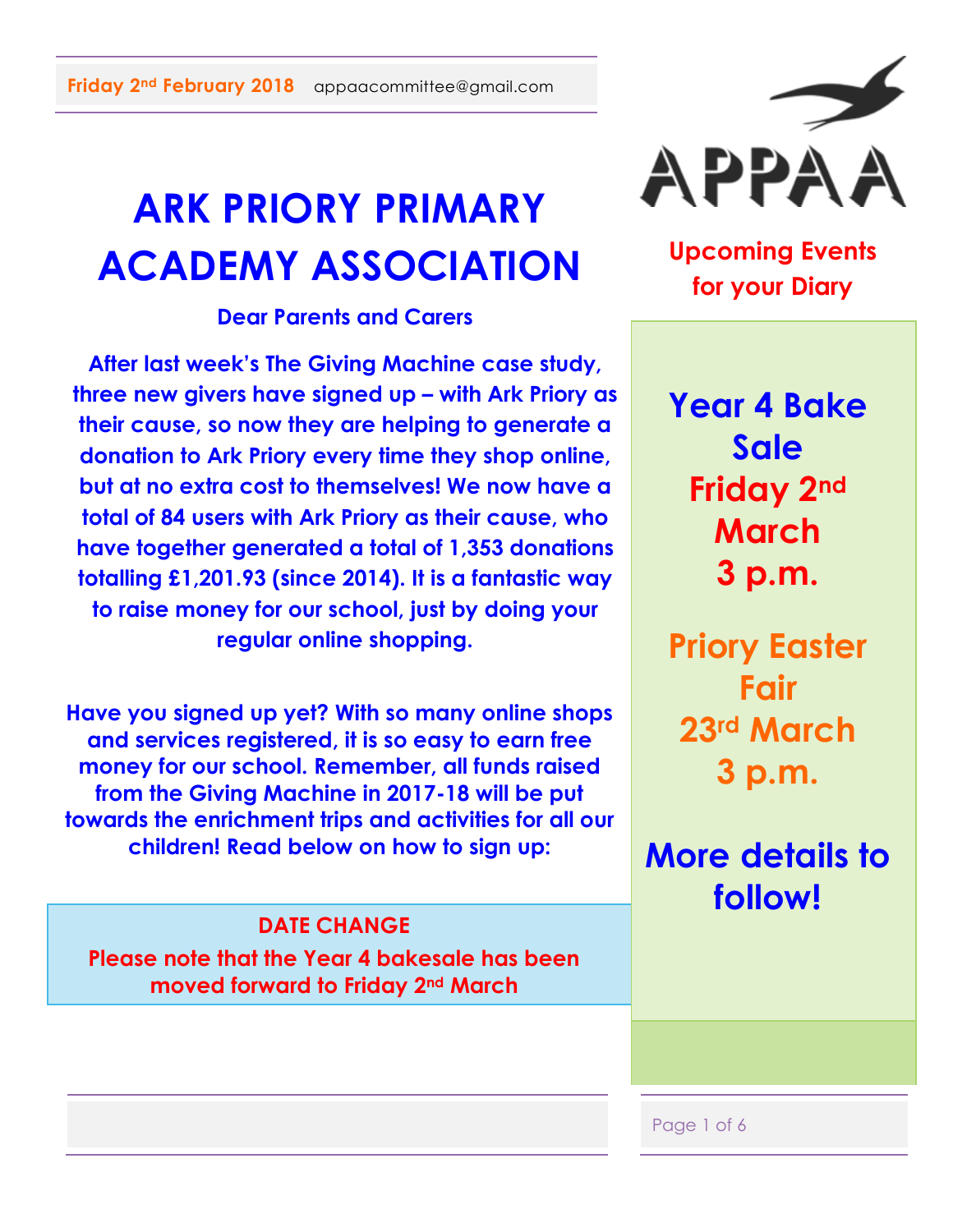# **ARK PRIORY PRIMARY ACADEMY ASSOCIATION**

## **Dear Parents and Carers**

**After last week's The Giving Machine case study, three new givers have signed up – with Ark Priory as their cause, so now they are helping to generate a donation to Ark Priory every time they shop online, but at no extra cost to themselves! We now have a total of 84 users with Ark Priory as their cause, who have together generated a total of 1,353 donations totalling £1,201.93 (since 2014). It is a fantastic way to raise money for our school, just by doing your regular online shopping.**

**Have you signed up yet? With so many online shops and services registered, it is so easy to earn free money for our school. Remember, all funds raised from the Giving Machine in 2017-18 will be put towards the enrichment trips and activities for all our children! Read below on how to sign up:**

# **DATE CHANGE**

**Please note that the Year 4 bakesale has been moved forward to Friday 2nd March**



**Upcoming Events for your Diary**

**Year 4 Bake Sale Friday 2nd March 3 p.m.**

**Priory Easter Fair 23rd March 3 p.m.**

**More details to follow!**

Page 1 of 6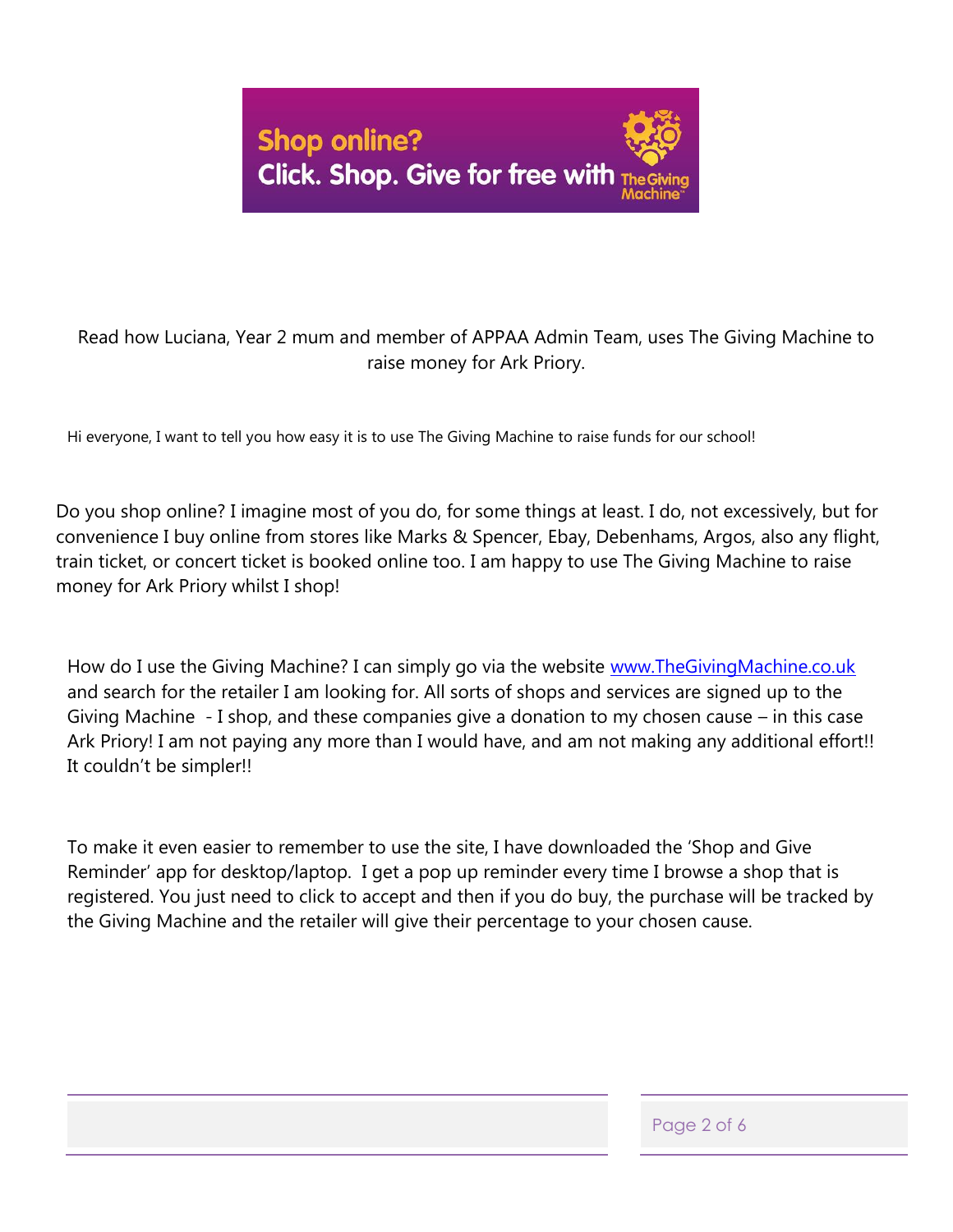

### Read how Luciana, Year 2 mum and member of APPAA Admin Team, uses The Giving Machine to raise money for Ark Priory.

Hi everyone, I want to tell you how easy it is to use The Giving Machine to raise funds for our school!

Do you shop online? I imagine most of you do, for some things at least. I do, not excessively, but for convenience I buy online from stores like Marks & Spencer, Ebay, Debenhams, Argos, also any flight, train ticket, or concert ticket is booked online too. I am happy to use The Giving Machine to raise money for Ark Priory whilst I shop!

How do I use the Giving Machine? I can simply go via the website [www.TheGivingMachine.co.uk](http://www.thegivingmachine.co.uk/) and search for the retailer I am looking for. All sorts of shops and services are signed up to the Giving Machine - I shop, and these companies give a donation to my chosen cause – in this case Ark Priory! I am not paying any more than I would have, and am not making any additional effort!! It couldn't be simpler!!

To make it even easier to remember to use the site, I have downloaded the 'Shop and Give Reminder' app for desktop/laptop. I get a pop up reminder every time I browse a shop that is registered. You just need to click to accept and then if you do buy, the purchase will be tracked by the Giving Machine and the retailer will give their percentage to your chosen cause.

Page 2 of 6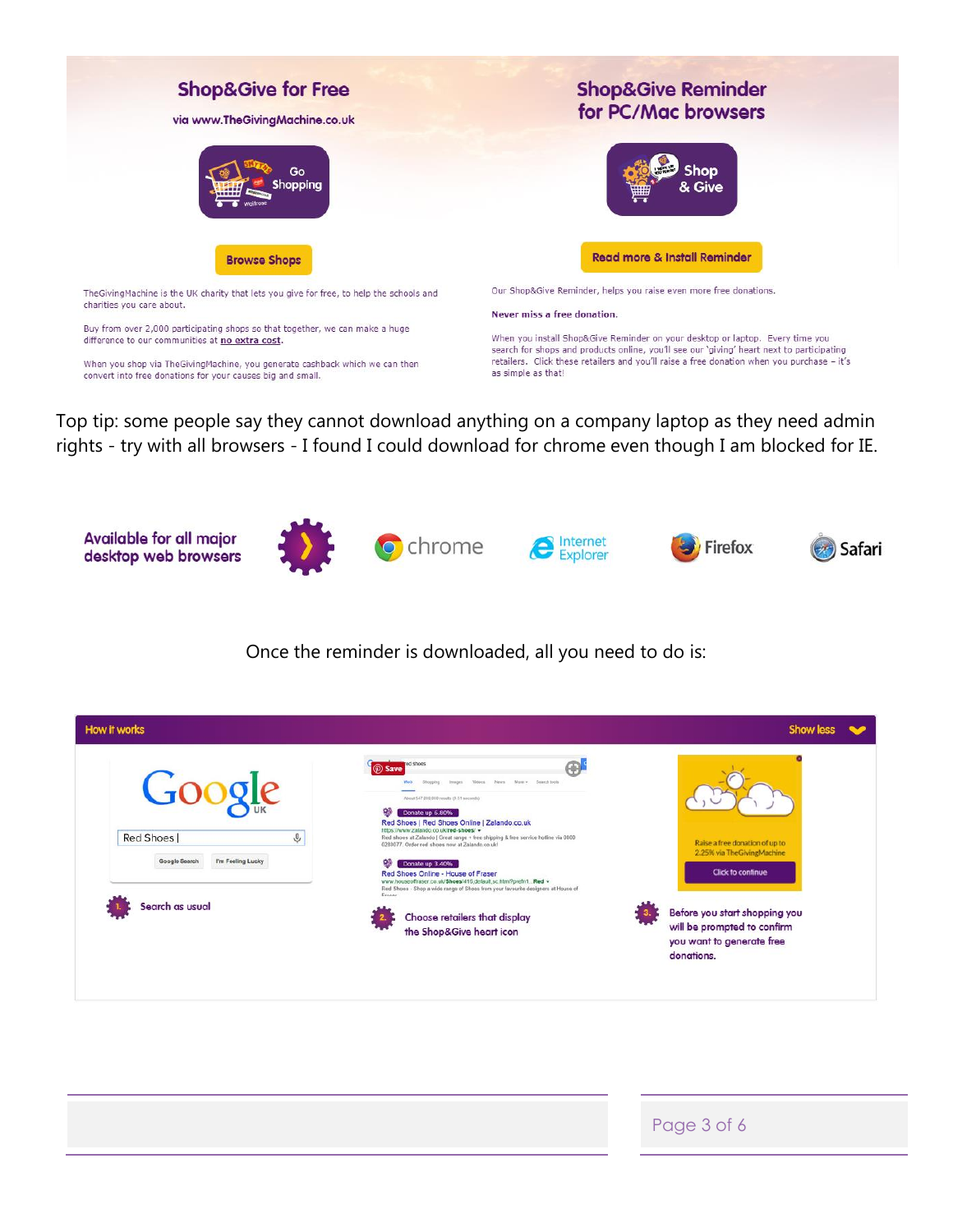

Top tip: some people say they cannot download anything on a company laptop as they need admin rights - try with all browsers - I found I could download for chrome even though I am blocked for IE.



Once the reminder is downloaded, all you need to do is:

| How it works                                                                                              |                                                                                                                                                                                                                                                                                                                                                                                                                                                                                                                                                                                                                                                                              | <b>Show less</b><br>$\bullet$                                                                                                                                                                       |
|-----------------------------------------------------------------------------------------------------------|------------------------------------------------------------------------------------------------------------------------------------------------------------------------------------------------------------------------------------------------------------------------------------------------------------------------------------------------------------------------------------------------------------------------------------------------------------------------------------------------------------------------------------------------------------------------------------------------------------------------------------------------------------------------------|-----------------------------------------------------------------------------------------------------------------------------------------------------------------------------------------------------|
| Google<br>$\hat{\mathbb{G}}$<br><b>Red Shoes</b><br>I'm Feeling Lucky<br>Google Search<br>Search as usual | red shoes<br>Œ<br>More = Search tools<br>Videos<br>News:<br>Shopping<br>Imakes.<br>About 547,000,000 results (0.51 seconds)<br>Donate up 6.80%<br>Red Shoes   Red Shoes Online   Zalando.co.uk<br>https://www.zalando.co.uk/red-shoes/ +<br>Red shoes at Zalando   Great range + free shipping & free service hotline via 0800<br>0280077. Order red shoes now at Zalando co.ukl<br>94<br>Donate up 3.40%<br>Red Shoes Online - House of Fraser<br>www.houseoffraser.co.uk/\$hoes/416.default.sc.html?prefn1Red +<br>Red Shoes - Shop a wide range of Shoes from your favourite designers at House of<br>Ernest<br>Choose retailers that display<br>the Shop&Give heart icon | Raise a free donation of up to<br>2.25% via TheGivingMachine<br><b>Click to continue</b><br>Before you start shopping you<br>will be prompted to confirm<br>you want to generate free<br>donations. |

#### Page 3 of 6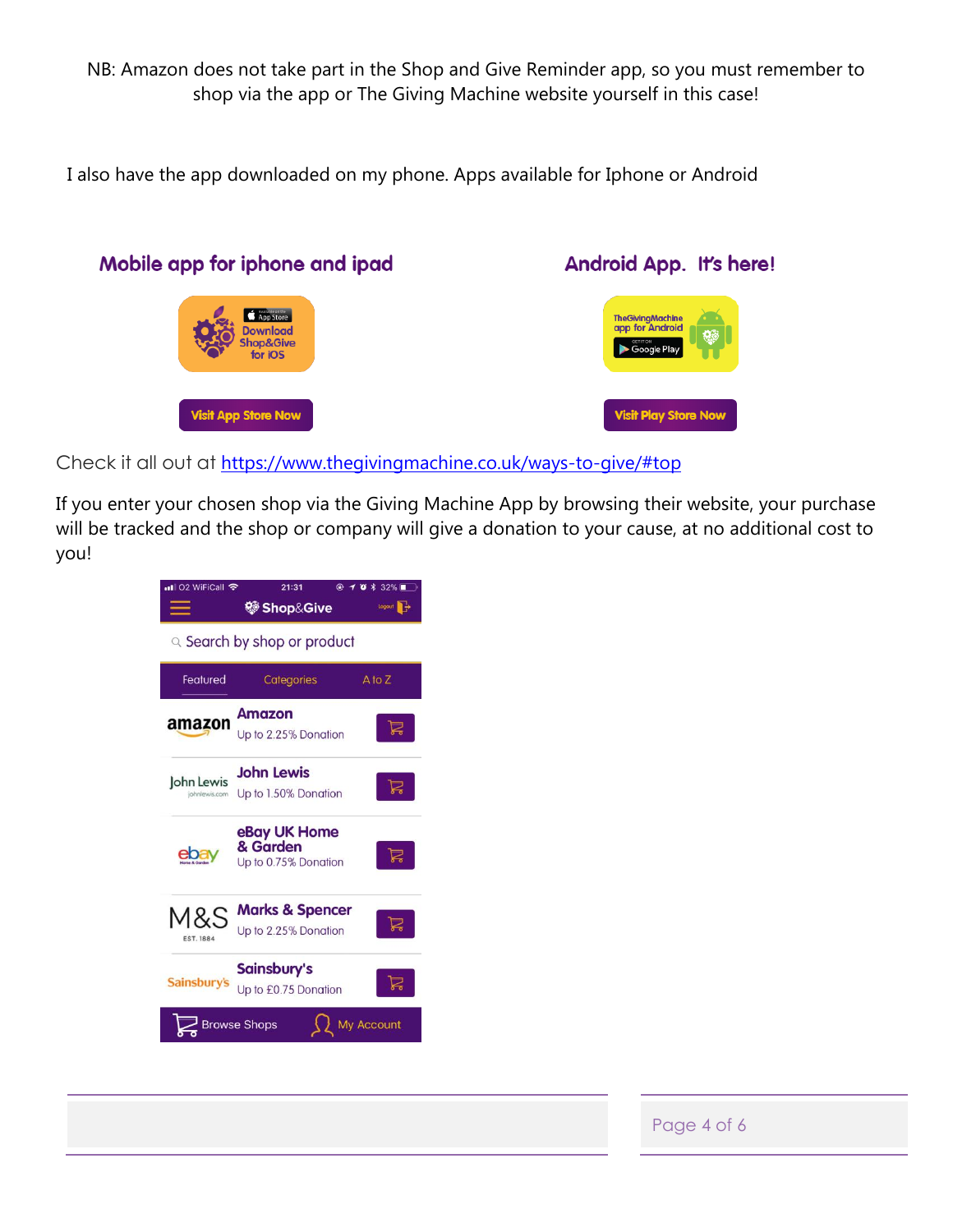NB: Amazon does not take part in the Shop and Give Reminder app, so you must remember to shop via the app or The Giving Machine website yourself in this case!

I also have the app downloaded on my phone. Apps available for Iphone or Android



Check it all out at <https://www.thegivingmachine.co.uk/ways-to-give/#top>

If you enter your chosen shop via the Giving Machine App by browsing their website, your purchase will be tracked and the shop or company will give a donation to your cause, at no additional cost to you!



Page 4 of 6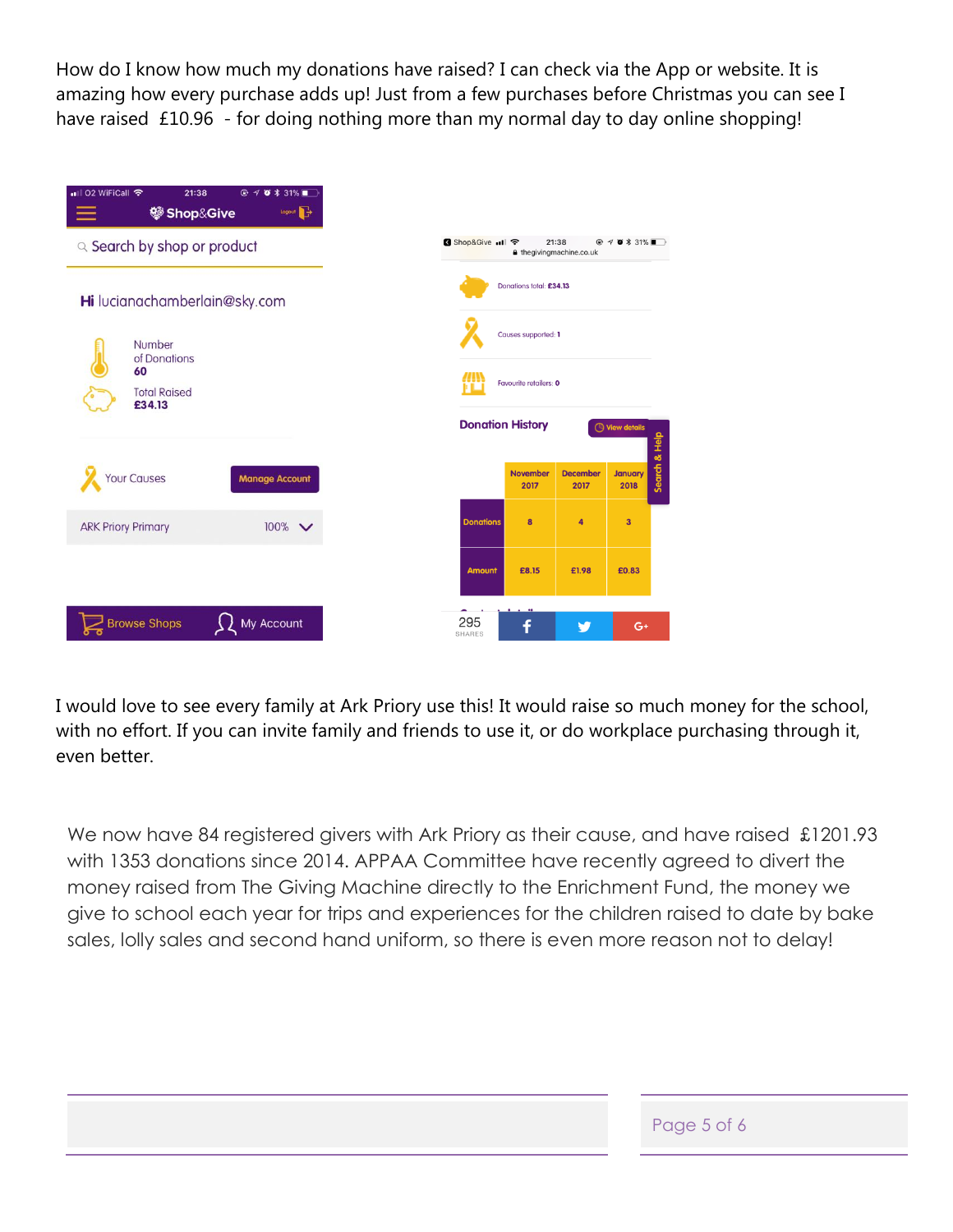How do I know how much my donations have raised? I can check via the App or website. It is amazing how every purchase adds up! Just from a few purchases before Christmas you can see I have raised £10.96 - for doing nothing more than my normal day to day online shopping!



I would love to see every family at Ark Priory use this! It would raise so much money for the school, with no effort. If you can invite family and friends to use it, or do workplace purchasing through it, even better.

We now have 84 registered givers with Ark Priory as their cause, and have raised £1201.93 with 1353 donations since 2014. APPAA Committee have recently agreed to divert the money raised from The Giving Machine directly to the Enrichment Fund, the money we give to school each year for trips and experiences for the children raised to date by bake sales, lolly sales and second hand uniform, so there is even more reason not to delay!

| Page 5 of 6 |
|-------------|
|             |